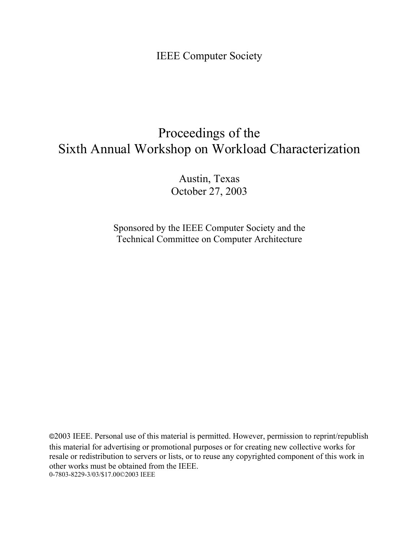IEEE Computer Society

# Proceedings of the Sixth Annual Workshop on Workload Characterization

Austin, Texas October 27, 2003

Sponsored by the IEEE Computer Society and the Technical Committee on Computer Architecture

©2003 IEEE. Personal use of this material is permitted. However, permission to reprint/republish this material for advertising or promotional purposes or for creating new collective works for resale or redistribution to servers or lists, or to reuse any copyrighted component of this work in other works must be obtained from the IEEE. 0-7803-8229-3/03/\$17.00©2003 IEEE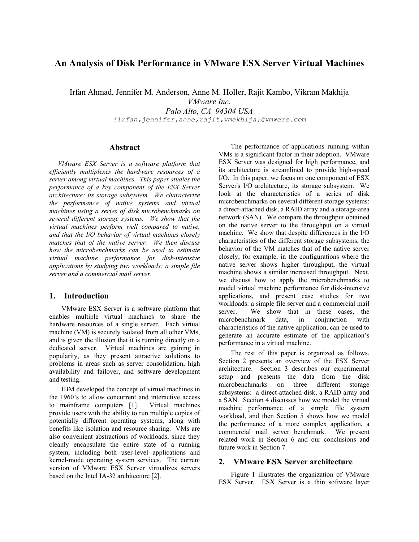## **An Analysis of Disk Performance in VMware ESX Server Virtual Machines**

Irfan Ahmad, Jennifer M. Anderson, Anne M. Holler, Rajit Kambo, Vikram Makhija

*VMware Inc.* 

*Palo Alto, CA 94304 USA* 

*{irfan,jennifer,anne,rajit,vmakhija}@vmware.com* 

*VMware ESX Server is a software platform that efficiently multiplexes the hardware resources of a server among virtual machines. This paper studies the performance of a key component of the ESX Server architecture: its storage subsystem. We characterize the performance of native systems and virtual machines using a series of disk microbenchmarks on several different storage systems. We show that the virtual machines perform well compared to native, and that the I/O behavior of virtual machines closely matches that of the native server. We then discuss how the microbenchmarks can be used to estimate virtual machine performance for disk-intensive applications by studying two workloads: a simple file server and a commercial mail server.* 

#### **1. Introduction**

VMware ESX Server is a software platform that enables multiple virtual machines to share the hardware resources of a single server. Each virtual machine (VM) is securely isolated from all other VMs, and is given the illusion that it is running directly on a dedicated server. Virtual machines are gaining in popularity, as they present attractive solutions to problems in areas such as server consolidation, high availability and failover, and software development and testing.

IBM developed the concept of virtual machines in the 1960's to allow concurrent and interactive access to mainframe computers [[1\]](#page-12-0). Virtual machines provide users with the ability to run multiple copies of potentially different operating systems, along with benefits like isolation and resource sharing. VMs are also convenient abstractions of workloads, since they cleanly encapsulate the entire state of a running system, including both user-level applications and kernel-mode operating system services. The current version of VMware ESX Server virtualizes servers based on the Intel IA-32 architecture [[2\]](#page-12-1).

**Abstract** The performance of applications running within VMs is a significant factor in their adoption. VMware ESX Server was designed for high performance, and its architecture is streamlined to provide high-speed I/O. In this paper, we focus on one component of ESX Server's I/O architecture, its storage subsystem. We look at the characteristics of a series of disk microbenchmarks on several different storage systems: a direct-attached disk, a RAID array and a storage-area network (SAN). We compare the throughput obtained on the native server to the throughput on a virtual machine. We show that despite differences in the I/O characteristics of the different storage subsystems, the behavior of the VM matches that of the native server closely; for example, in the configurations where the native server shows higher throughput, the virtual machine shows a similar increased throughput. Next, we discuss how to apply the microbenchmarks to model virtual machine performance for disk-intensive applications, and present case studies for two workloads: a simple file server and a commercial mail server. We show that in these cases, the microbenchmark data, in conjunction with characteristics of the native application, can be used to generate an accurate estimate of the application's performance in a virtual machine.

> The rest of this paper is organized as follows. Section [2](#page-1-0) presents an overview of the ESX Server architecture. Section [3](#page-2-0) describes our experimental setup and presents the data from the disk microbenchmarks on three different storage subsystems: a direct-attached disk, a RAID array and a SAN. Section [4](#page-7-0) discusses how we model the virtual machine performance of a simple file system workload, and then Section [5](#page-8-0) shows how we model the performance of a more complex application, a commercial mail server benchmark. We present related work in Section [6](#page-11-0) and our conclusions and future work in Section [7.](#page-11-1)

#### <span id="page-1-0"></span>**2. VMware ESX Server architecture**

[Figure 1](#page-2-1) illustrates the organization of VMware ESX Server. ESX Server is a thin software layer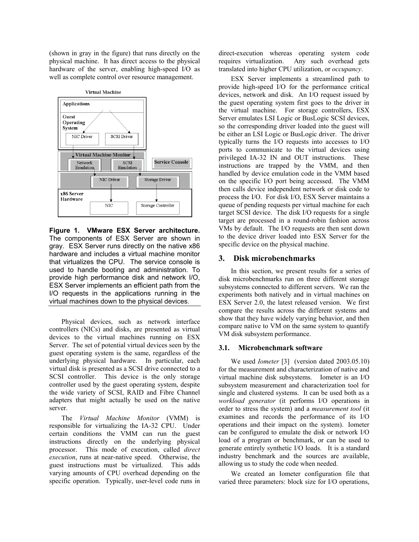(shown in gray in the figure) that runs directly on the physical machine. It has direct access to the physical hardware of the server, enabling high-speed I/O as well as complete control over resource management.

<span id="page-2-1"></span>

**Figure 1. VMware ESX Server architecture.** The components of ESX Server are shown in gray. ESX Server runs directly on the native x86 hardware and includes a virtual machine monitor that virtualizes the CPU. The service console is used to handle booting and administration. To provide high performance disk and network I/O, ESX Server implements an efficient path from the I/O requests in the applications running in the virtual machines down to the physical devices.

Physical devices, such as network interface controllers (NICs) and disks, are presented as virtual devices to the virtual machines running on ESX Server. The set of potential virtual devices seen by the guest operating system is the same, regardless of the underlying physical hardware. In particular, each virtual disk is presented as a SCSI drive connected to a SCSI controller. This device is the only storage controller used by the guest operating system, despite the wide variety of SCSI, RAID and Fibre Channel adapters that might actually be used on the native server.

The *Virtual Machine Monitor* (VMM) is responsible for virtualizing the IA-32 CPU. Under certain conditions the VMM can run the guest instructions directly on the underlying physical processor. This mode of execution, called *direct execution*, runs at near-native speed. Otherwise, the guest instructions must be virtualized. This adds varying amounts of CPU overhead depending on the specific operation. Typically, user-level code runs in direct-execution whereas operating system code requires virtualization. Any such overhead gets translated into higher CPU utilization, or *occupancy*.

ESX Server implements a streamlined path to provide high-speed I/O for the performance critical devices, network and disk. An I/O request issued by the guest operating system first goes to the driver in the virtual machine. For storage controllers, ESX Server emulates LSI Logic or BusLogic SCSI devices, so the corresponding driver loaded into the guest will be either an LSI Logic or BusLogic driver. The driver typically turns the I/O requests into accesses to I/O ports to communicate to the virtual devices using privileged IA-32 IN and OUT instructions. These instructions are trapped by the VMM, and then handled by device emulation code in the VMM based on the specific I/O port being accessed. The VMM then calls device independent network or disk code to process the I/O. For disk I/O, ESX Server maintains a queue of pending requests per virtual machine for each target SCSI device. The disk I/O requests for a single target are processed in a round-robin fashion across VMs by default. The I/O requests are then sent down to the device driver loaded into ESX Server for the specific device on the physical machine.

#### <span id="page-2-0"></span>**3. Disk microbenchmarks**

In this section, we present results for a series of disk microbenchmarks run on three different storage subsystems connected to different servers. We ran the experiments both natively and in virtual machines on ESX Server 2.0, the latest released version. We first compare the results across the different systems and show that they have widely varying behavior, and then compare native to VM on the same system to quantify VM disk subsystem performance.

#### **3.1. Microbenchmark software**

We used *Iometer* [[3\]](#page-12-2) (version dated 2003.05.10) for the measurement and characterization of native and virtual machine disk subsystems. Iometer is an I/O subsystem measurement and characterization tool for single and clustered systems. It can be used both as a *workload generator* (it performs I/O operations in order to stress the system) and a *measurement tool* (it examines and records the performance of its I/O operations and their impact on the system). Iometer can be configured to emulate the disk or network I/O load of a program or benchmark, or can be used to generate entirely synthetic I/O loads. It is a standard industry benchmark and the sources are available, allowing us to study the code when needed.

We created an Iometer configuration file that varied three parameters: block size for I/O operations,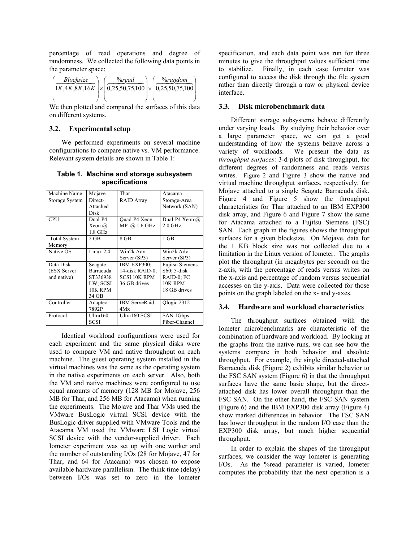percentage of read operations and degree of randomness. We collected the following data points in the parameter space:

$$
\left(\frac{Blocksize}{1K, 4K, 8K, 16K}\right) \times \left(\frac{\%read}{0, 25, 50, 75, 100}\right) \times \left(\frac{\%random}{0, 25, 50, 75, 100}\right)
$$

We then plotted and compared the surfaces of this data on different systems.

#### **3.2. Experimental setup**

We performed experiments on several machine configurations to compare native vs. VM performance. Relevant system details are shown in [Table 1:](#page-3-0)

<span id="page-3-0"></span>**Table 1. Machine and storage subsystem specifications** 

| Machine Name        | Mojave          | Thar                 | Atacama                |
|---------------------|-----------------|----------------------|------------------------|
| Storage System      | Direct-         | <b>RAID Array</b>    | Storage-Area           |
|                     | Attached        |                      | Network (SAN)          |
|                     | Disk            |                      |                        |
| <b>CPU</b>          | Dual-P4         | Ouad-P4 Xeon         | Dual-P4 Xeon @         |
|                     | $Xeon$ $\omega$ | MP @ 1.6 GHz         | $2.0$ GHz              |
|                     | $1.8$ GHz       |                      |                        |
| <b>Total System</b> | $2$ GB          | 8 GB                 | $1$ GB                 |
| Memory              |                 |                      |                        |
| Native OS           | Linux 2.4       | Win2k Adv            | Win2k Adv              |
|                     |                 | Server (SP3)         | Server (SP3)           |
| Data Disk           | Seagate         | IBM EXP300;          | <b>Fujitsu Siemens</b> |
| (ESX Server         | Barracuda       | 14-disk RAID-0;      | S60: 5-disk            |
| and native)         | ST336938        | <b>SCSI 10K RPM</b>  | RAID-0; FC             |
|                     | LW: SCSI        | 36 GB drives         | 10K RPM                |
|                     | 10K RPM         |                      | 18 GB drives           |
|                     | 34 GB           |                      |                        |
| Controller          | Adaptec         | <b>IBM ServeRaid</b> | Qlogic 2312            |
|                     | 7892P           | 4Mx                  |                        |
| Protocol            | Ultra160        | Ultra160 SCSI        | SAN 1Gbps              |
|                     | <b>SCSI</b>     |                      | Fiber-Channel          |

Identical workload configurations were used for each experiment and the same physical disks were used to compare VM and native throughput on each machine. The guest operating system installed in the virtual machines was the same as the operating system in the native experiments on each server. Also, both the VM and native machines were configured to use equal amounts of memory (128 MB for Mojave, 256 MB for Thar, and 256 MB for Atacama) when running the experiments. The Mojave and Thar VMs used the VMware BusLogic virtual SCSI device with the BusLogic driver supplied with VMware Tools and the Atacama VM used the VMware LSI Logic virtual SCSI device with the vendor-supplied driver. Each Iometer experiment was set up with one worker and the number of outstanding I/Os (28 for Mojave, 47 for Thar, and 64 for Atacama) was chosen to expose available hardware parallelism. The think time (delay) between I/Os was set to zero in the Iometer

specification, and each data point was run for three minutes to give the throughput values sufficient time to stabilize. Finally, in each case Iometer was configured to access the disk through the file system rather than directly through a raw or physical device interface.

### **3.3. Disk microbenchmark data**

Different storage subsystems behave differently under varying loads. By studying their behavior over a large parameter space, we can get a good understanding of how the systems behave across a variety of workloads. We present the data as *throughput surfaces*: 3-d plots of disk throughput, for different degrees of randomness and reads versus writes. [Figure 2](#page-4-0) and [Figure 3](#page-4-1) show the native and virtual machine throughput surfaces, respectively, for Mojave attached to a single Seagate Barracuda disk. [Figure 4](#page-5-0) and [Figure](#page-5-1) 5 show the throughput characteristics for Thar attached to an IBM EXP300 disk array, and [Figure 6](#page-6-0) and [Figure 7](#page-6-1) show the same for Atacama attached to a Fujitsu Siemens (FSC) SAN. Each graph in the figures shows the throughput surfaces for a given blocksize. On Mojave, data for the 1 KB block size was not collected due to a limitation in the Linux version of Iometer. The graphs plot the throughput (in megabytes per second) on the z-axis, with the percentage of reads versus writes on the x-axis and percentage of random versus sequential accesses on the y-axis. Data were collected for those points on the graph labeled on the x- and y-axes.

#### **3.4. Hardware and workload characteristics**

The throughput surfaces obtained with the Iometer microbenchmarks are characteristic of the combination of hardware and workload. By looking at the graphs from the native runs, we can see how the systems compare in both behavior and absolute throughput. For example, the single directed-attached Barracuda disk [\(Figure 2\)](#page-4-0) exhibits similar behavior to the FSC SAN system [\(Figure 6\)](#page-6-0) in that the throughput surfaces have the same basic shape, but the directattached disk has lower overall throughput than the FSC SAN. On the other hand, the FSC SAN system ([Figure 6\)](#page-6-0) and the IBM EXP300 disk array [\(Figure 4\)](#page-5-0) show marked differences in behavior. The FSC SAN has lower throughput in the random I/O case than the EXP300 disk array, but much higher sequential throughput.

In order to explain the shapes of the throughput surfaces, we consider the way Iometer is generating I/Os. As the %read parameter is varied, Iometer computes the probability that the next operation is a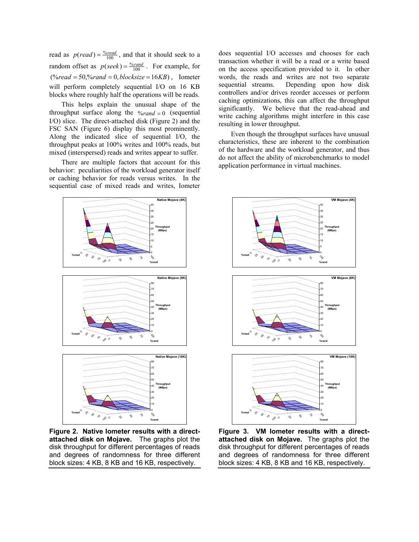read as  $p(\text{read}) = \frac{\% \text{read}}{100}$ , and that it should seek to a random offset as  $p(seek) = \frac{\%rand}{100}$ . For example, for  $\frac{1}{\sqrt{2}}$  (%*read* = 50, % *rand* = 0, *blocksize* = 16*KB*), Iometer will perform completely sequential I/O on 16 KB blocks where roughly half the operations will be reads.

This helps explain the unusual shape of the throughput surface along the  $\%rand = 0$  (sequential I/O) slice. The direct-attached disk [\(Figure 2\)](#page-4-0) and the FSC SAN ([Figure 6\)](#page-6-0) display this most prominently. Along the indicated slice of sequential I/O, the throughput peaks at 100% writes and 100% reads, but mixed (interspersed) reads and writes appear to suffer.

There are multiple factors that account for this behavior: peculiarities of the workload generator itself or caching behavior for reads versus writes. In the sequential case of mixed reads and writes, Iometer



<span id="page-4-0"></span>**Figure 2. Native Iometer results with a directattached disk on Mojave.** The graphs plot the disk throughput for different percentages of reads and degrees of randomness for three different block sizes: 4 KB, 8 KB and 16 KB, respectively.

does sequential I/O accesses and chooses for each transaction whether it will be a read or a write based on the access specification provided to it. In other words, the reads and writes are not two separate sequential streams. Depending upon how disk controllers and/or drives reorder accesses or perform caching optimizations, this can affect the throughput significantly. We believe that the read-ahead and write caching algorithms might interfere in this case resulting in lower throughput.

Even though the throughput surfaces have unusual characteristics, these are inherent to the combination of the hardware and the workload generator, and thus do not affect the ability of microbenchmarks to model application performance in virtual machines.



<span id="page-4-1"></span>**Figure 3. VM Iometer results with a directattached disk on Mojave.** The graphs plot the disk throughput for different percentages of reads and degrees of randomness for three different block sizes: 4 KB, 8 KB and 16 KB, respectively.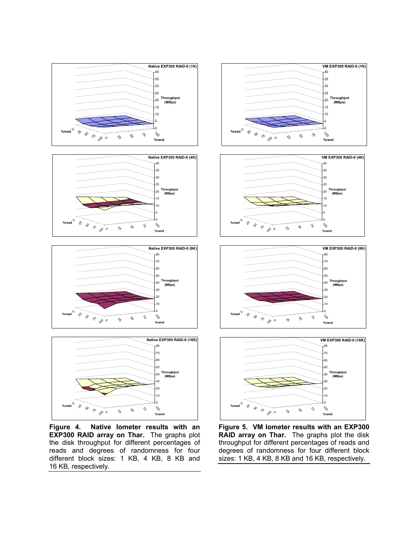





<span id="page-5-1"></span>

**Figure 5. VM Iometer results with an EXP300 RAID array on Thar.** The graphs plot the disk throughput for different percentages of reads and degrees of randomness for four different block sizes: 1 KB, 4 KB, 8 KB and 16 KB, respectively.







<span id="page-5-0"></span>

**Figure 4. Native Iometer results with an EXP300 RAID array on Thar.** The graphs plot the disk throughput for different percentages of reads and degrees of randomness for four different block sizes: 1 KB, 4 KB, 8 KB and 16 KB, respectively.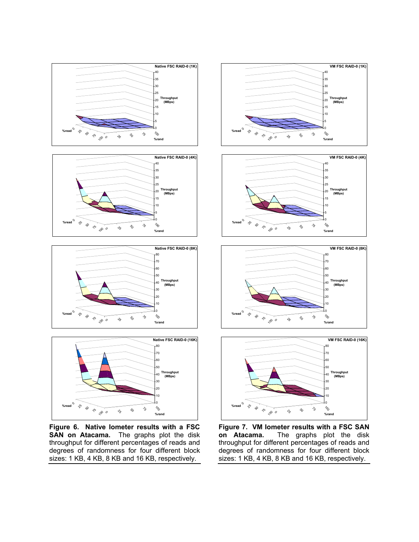





<span id="page-6-1"></span>

**Figure 7. VM Iometer results with a FSC SAN on Atacama.** The graphs plot the disk throughput for different percentages of reads and degrees of randomness for four different block sizes: 1 KB, 4 KB, 8 KB and 16 KB, respectively.







<span id="page-6-0"></span>

**Figure 6. Native Iometer results with a FSC SAN on Atacama.** The graphs plot the disk throughput for different percentages of reads and degrees of randomness for four different block sizes: 1 KB, 4 KB, 8 KB and 16 KB, respectively.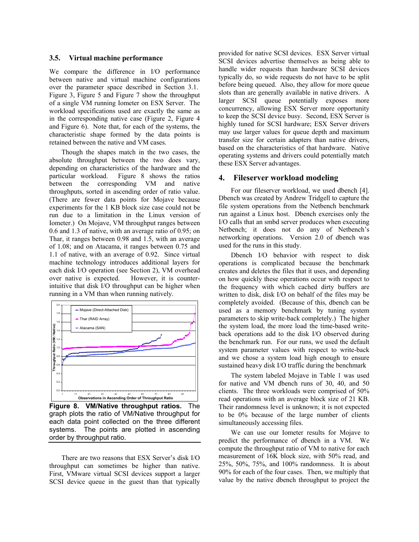#### **3.5. Virtual machine performance**

We compare the difference in I/O performance between native and virtual machine configurations over the parameter space described in Section 3.1. Figure 3, Figure 5 and Figure 7 show the throughput of a single VM running Iometer on ESX Server. The workload specifications used are exactly the same as in the corresponding native case (Figure 2, Figure 4 and Figure 6). Note that, for each of the systems, the characteristic shape formed by the data points is retained between the native and VM cases.

Though the shapes match in the two cases, the absolute throughput between the two does vary, depending on characteristics of the hardware and the particular workload. Figure 8 shows the ratios between the corresponding VM and native throughputs, sorted in ascending order of ratio value. (There are fewer data points for Mojave because experiments for the 1 KB block size case could not be run due to a limitation in the Linux version of Iometer.) On Mojave, VM throughput ranges between 0.6 and 1.3 of native, with an average ratio of 0.95; on Thar, it ranges between 0.98 and 1.5, with an average of 1.08; and on Atacama, it ranges between 0.75 and 1.1 of native, with an average of 0.92. Since virtual machine technology introduces additional layers for each disk I/O operation (see Section 2), VM overhead over native is expected. However, it is counterintuitive that disk I/O throughput can be higher when running in a VM than when running natively.



**Figure 8. VM/Native throughput ratios.** The graph plots the ratio of VM/Native throughput for each data point collected on the three different systems. The points are plotted in ascending order by throughput ratio.

There are two reasons that ESX Server's disk I/O throughput can sometimes be higher than native. First, VMware virtual SCSI devices support a larger SCSI device queue in the guest than that typically

provided for native SCSI devices. ESX Server virtual SCSI devices advertise themselves as being able to handle wider requests than hardware SCSI devices typically do, so wide requests do not have to be split before being queued. Also, they allow for more queue slots than are generally available in native drivers. A larger SCSI queue potentially exposes more concurrency, allowing ESX Server more opportunity to keep the SCSI device busy. Second, ESX Server is highly tuned for SCSI hardware; ESX Server drivers may use larger values for queue depth and maximum transfer size for certain adapters than native drivers, based on the characteristics of that hardware. Native operating systems and drivers could potentially match these ESX Server advantages.

#### <span id="page-7-0"></span>**4. Fileserver workload modeling**

For our fileserver workload, we used dbench [\[4\]](#page-12-3). Dbench was created by Andrew Tridgell to capture the file system operations from the Netbench benchmark run against a Linux host. Dbench exercises only the I/O calls that an smbd server produces when executing Netbench; it does not do any of Netbench's networking operations. Version 2.0 of dbench was used for the runs in this study.

Dbench I/O behavior with respect to disk operations is complicated because the benchmark creates and deletes the files that it uses, and depending on how quickly these operations occur with respect to the frequency with which cached dirty buffers are written to disk, disk I/O on behalf of the files may be completely avoided. (Because of this, dbench can be used as a memory benchmark by tuning system parameters to skip write-back completely.) The higher the system load, the more load the time-based writeback operations add to the disk I/O observed during the benchmark run. For our runs, we used the default system parameter values with respect to write-back and we chose a system load high enough to ensure sustained heavy disk I/O traffic during the benchmark

The system labeled Mojave in Table 1 was used for native and VM dbench runs of 30, 40, and 50 clients. The three workloads were comprised of 50% read operations with an average block size of 21 KB. Their randomness level is unknown; it is not expected to be 0% because of the large number of clients simultaneously accessing files.

We can use our Iometer results for Mojave to predict the performance of dbench in a VM. We compute the throughput ratio of VM to native for each measurement of 16K block size, with 50% read, and 25%, 50%, 75%, and 100% randomness. It is about 90% for each of the four cases. Then, we multiply that value by the native dbench throughput to project the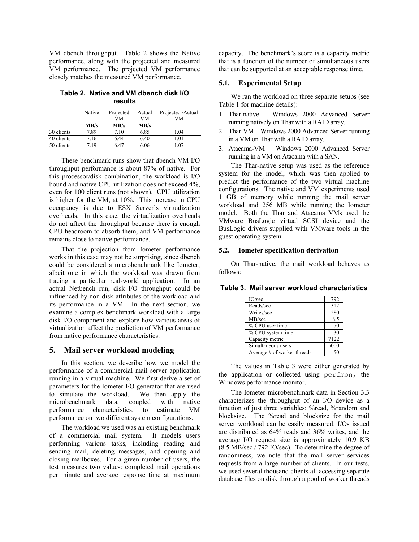VM dbench throughput. Table 2 shows the Native performance, along with the projected and measured VM performance. The projected VM performance closely matches the measured VM performance.

**Table 2. Native and VM dbench disk I/O results** 

|            | Native | Projected | Actual | Projected /Actual |
|------------|--------|-----------|--------|-------------------|
|            |        | VM        | VM     | VM                |
|            | MB/s   | MB/s      | MB/s   |                   |
| 30 clients | 7.89   | 7.10      | 6.85   | 1.04              |
| 40 clients | 7.16   | 6.44      | 6.40   | 1.01              |
| 50 clients | 7.19   | 6.47      | 6.06   | 1.07              |

These benchmark runs show that dbench VM I/O throughput performance is about 87% of native. For this processor/disk combination, the workload is I/O bound and native CPU utilization does not exceed 4%, even for 100 client runs (not shown). CPU utilization is higher for the VM, at 10%. This increase in CPU occupancy is due to ESX Server's virtualization overheads. In this case, the virtualization overheads do not affect the throughput because there is enough CPU headroom to absorb them, and VM performance remains close to native performance.

That the projection from Iometer performance works in this case may not be surprising, since dbench could be considered a microbenchmark like Iometer, albeit one in which the workload was drawn from tracing a particular real-world application. In an actual Netbench run, disk I/O throughput could be influenced by non-disk attributes of the workload and its performance in a VM. In the next section, we examine a complex benchmark workload with a large disk I/O component and explore how various areas of virtualization affect the prediction of VM performance from native performance characteristics.

#### <span id="page-8-0"></span>**5. Mail server workload modeling**

In this section, we describe how we model the performance of a commercial mail server application running in a virtual machine. We first derive a set of parameters for the Iometer I/O generator that are used to simulate the workload. We then apply the microbenchmark data, coupled with native microbenchmark data, coupled with native performance characteristics, to estimate VM performance on two different system configurations.

The workload we used was an existing benchmark of a commercial mail system. It models users performing various tasks, including reading and sending mail, deleting messages, and opening and closing mailboxes. For a given number of users, the test measures two values: completed mail operations per minute and average response time at maximum capacity. The benchmark's score is a capacity metric that is a function of the number of simultaneous users that can be supported at an acceptable response time.

#### **5.1. Experimental Setup**

We ran the workload on three separate setups (see Table 1 for machine details):

- 1. Thar-native Windows 2000 Advanced Server running natively on Thar with a RAID array.
- 2. Thar-VM Windows 2000 Advanced Server running in a VM on Thar with a RAID array.
- 3. Atacama-VM Windows 2000 Advanced Server running in a VM on Atacama with a SAN.

The Thar-native setup was used as the reference system for the model, which was then applied to predict the performance of the two virtual machine configurations. The native and VM experiments used 1 GB of memory while running the mail server workload and 256 MB while running the Iometer model. Both the Thar and Atacama VMs used the VMware BusLogic virtual SCSI device and the BusLogic drivers supplied with VMware tools in the guest operating system.

#### **5.2. Iometer specification derivation**

On Thar-native, the mail workload behaves as follows:

| IO/sec                      | 792  |
|-----------------------------|------|
| Reads/sec                   | 512  |
| Writes/sec                  | 280  |
| MB/sec                      | 8.5  |
| % CPU user time             | 70   |
| % CPU system time           | 30   |
| Capacity metric             | 7122 |
| Simultaneous users          | 5000 |
| Average # of worker threads | 50   |

#### **Table 3. Mail server workload characteristics**

The values in Table 3 were either generated by the application or collected using perfmon, the Windows performance monitor.

The Iometer microbenchmark data in Section 3.3 characterizes the throughput of an I/O device as a function of just three variables: %read, %random and blocksize. The %read and blocksize for the mail server workload can be easily measured: I/Os issued are distributed as 64% reads and 36% writes, and the average I/O request size is approximately 10.9 KB (8.5 MB/sec / 792 IO/sec). To determine the degree of randomness, we note that the mail server services requests from a large number of clients. In our tests, we used several thousand clients all accessing separate database files on disk through a pool of worker threads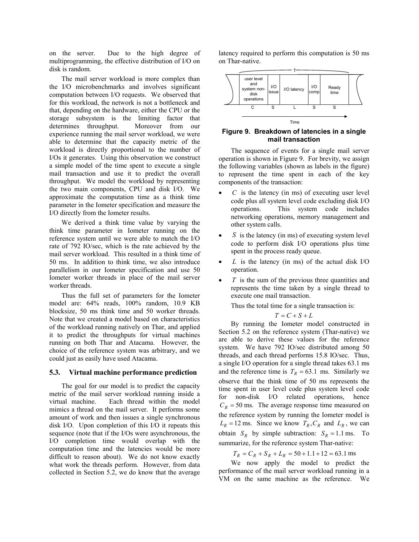on the server. Due to the high degree of multiprogramming, the effective distribution of I/O on disk is random.

The mail server workload is more complex than the I/O microbenchmarks and involves significant computation between I/O requests. We observed that for this workload, the network is not a bottleneck and that, depending on the hardware, either the CPU or the storage subsystem is the limiting factor that determines throughput. Moreover from our experience running the mail server workload, we were able to determine that the capacity metric of the workload is directly proportional to the number of I/Os it generates. Using this observation we construct a simple model of the time spent to execute a single mail transaction and use it to predict the overall throughput. We model the workload by representing the two main components, CPU and disk I/O. We approximate the computation time as a think time parameter in the Iometer specification and measure the I/O directly from the Iometer results.

We derived a think time value by varying the think time parameter in Iometer running on the reference system until we were able to match the I/O rate of 792 IO/sec, which is the rate achieved by the mail server workload. This resulted in a think time of 50 ms. In addition to think time, we also introduce parallelism in our Iometer specification and use 50 Iometer worker threads in place of the mail server worker threads.

Thus the full set of parameters for the Iometer model are: 64% reads, 100% random, 10.9 KB blocksize, 50 ms think time and 50 worker threads. Note that we created a model based on characteristics of the workload running natively on Thar, and applied it to predict the throughputs for virtual machines running on both Thar and Atacama. However, the choice of the reference system was arbitrary, and we could just as easily have used Atacama.

#### **5.3. Virtual machine performance prediction**

The goal for our model is to predict the capacity metric of the mail server workload running inside a virtual machine. Each thread within the model mimics a thread on the mail server. It performs some amount of work and then issues a single synchronous disk I/O. Upon completion of this I/O it repeats this sequence (note that if the I/Os were asynchronous, the I/O completion time would overlap with the computation time and the latencies would be more difficult to reason about). We do not know exactly what work the threads perform. However, from data collected in Section 5.2, we do know that the average

latency required to perform this computation is 50 ms on Thar-native.



#### **Figure 9. Breakdown of latencies in a single mail transaction**

The sequence of events for a single mail server operation is shown in Figure 9. For brevity, we assign the following variables (shown as labels in the figure) to represent the time spent in each of the key components of the transaction:

- *C* is the latency (in ms) of executing user level code plus all system level code excluding disk I/O operations. This system code includes networking operations, memory management and other system calls.
- *S* is the latency (in ms) of executing system level code to perform disk I/O operations plus time spent in the process ready queue.
- $L$  is the latency (in ms) of the actual disk I/O operation.
- *T* is the sum of the previous three quantities and represents the time taken by a single thread to execute one mail transaction.

Thus the total time for a single transaction is:

$$
T=C+S+L
$$

By running the Iometer model constructed in Section 5.2 on the reference system (Thar-native) we are able to derive these values for the reference system. We have 792 IO/sec distributed among 50 threads, and each thread performs 15.8 IO/sec. Thus, a single I/O operation for a single thread takes 63.1 ms and the reference time is  $T_R = 63.1$  ms. Similarly we observe that the think time of 50 ms represents the time spent in user level code plus system level code for non-disk I/O related operations, hence  $C_R = 50$  ms. The average response time measured on the reference system by running the Iometer model is  $L_R = 12$  ms. Since we know  $T_R$ ,  $C_R$  and  $L_R$ , we can obtain  $S_R$  by simple subtraction:  $S_R = 1.1$  ms. To summarize, for the reference system Thar-native:

$$
T_R = C_R + S_R + L_R = 50 + 1.1 + 12 = 63.1
$$
 ms

We now apply the model to predict the performance of the mail server workload running in a VM on the same machine as the reference. We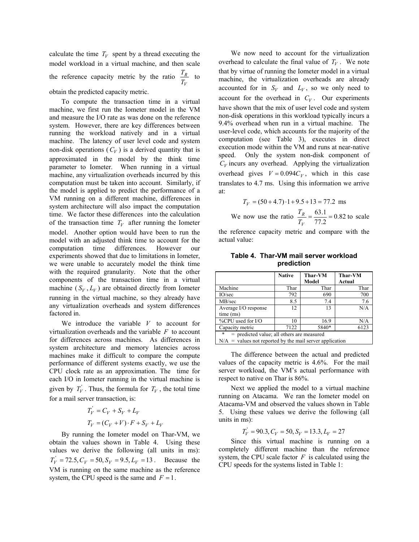calculate the time  $T_V$  spent by a thread executing the model workload in a virtual machine, and then scale the reference capacity metric by the ratio *V R T*  $\frac{T_R}{T}$  to obtain the predicted capacity metric.

To compute the transaction time in a virtual machine, we first run the Iometer model in the VM and measure the I/O rate as was done on the reference system. However, there are key differences between running the workload natively and in a virtual machine. The latency of user level code and system non-disk operations  $(C_V)$  is a derived quantity that is approximated in the model by the think time parameter to Iometer. When running in a virtual machine, any virtualization overheads incurred by this computation must be taken into account. Similarly, if the model is applied to predict the performance of a VM running on a different machine, differences in system architecture will also impact the computation time. We factor these differences into the calculation of the transaction time  $T_V$  after running the Iometer model. Another option would have been to run the model with an adjusted think time to account for the computation time differences. However our experiments showed that due to limitations in Iometer, we were unable to accurately model the think time with the required granularity. Note that the other components of the transaction time in a virtual machine  $(S_V, L_V)$  are obtained directly from Iometer running in the virtual machine, so they already have any virtualization overheads and system differences factored in.

We introduce the variable *V* to account for virtualization overheads and the variable *F* to account for differences across machines. As differences in system architecture and memory latencies across machines make it difficult to compare the compute performance of different systems exactly, we use the CPU clock rate as an approximation. The time for each I/O in Iometer running in the virtual machine is given by  $T_V^{\prime}$ . Thus, the formula for  $T_V$ , the total time for a mail server transaction, is:

$$
T_V = C_V + S_V + L_V
$$
  
\n
$$
T_V = (C_V + V) \cdot F + S_V + L_V
$$

By running the Iometer model on Thar-VM, we obtain the values shown in Table 4. Using these values we derive the following (all units in ms):  $T_V^{\prime} = 72.5, C_V = 50, S_V = 9.5, L_V = 13$ . Because the VM is running on the same machine as the reference system, the CPU speed is the same and  $F = 1$ .

We now need to account for the virtualization overhead to calculate the final value of  $T_V$ . We note that by virtue of running the Iometer model in a virtual machine, the virtualization overheads are already accounted for in  $S_V$  and  $L_V$ , so we only need to account for the overhead in  $C_V$ . Our experiments have shown that the mix of user level code and system non-disk operations in this workload typically incurs a 9.4% overhead when run in a virtual machine. The user-level code, which accounts for the majority of the computation (see Table 3), executes in direct execution mode within the VM and runs at near-native speed. Only the system non-disk component of  $C_V$  incurs any overhead. Applying the virtualization overhead gives  $V = 0.094 C_V$ , which in this case translates to 4.7 ms. Using this information we arrive at:

$$
T_V = (50 + 4.7) \cdot 1 + 9.5 + 13 = 77.2
$$
 ms

We now use the ratio  $\frac{T_R}{T_V} = \frac{63.1}{77.2} = 0.82$ *V R*  $\frac{T_R}{T_V} = \frac{63.1}{77.2} = 0.82$  to scale

the reference capacity metric and compare with the actual value:

**Table 4. Thar-VM mail server workload prediction** 

|                                                            | <b>Native</b> | Thar-VM | <b>Thar-VM</b> |  |
|------------------------------------------------------------|---------------|---------|----------------|--|
|                                                            |               | Model   | Actual         |  |
| Machine                                                    | Thar          | Thar    | Thar           |  |
| IO/sec                                                     | 792           | 690     | 700            |  |
| MB/sec                                                     | 8.5           | 7.4     | 7.6            |  |
| Average I/O response                                       | 12            | 13      | N/A            |  |
| time (ms)                                                  |               |         |                |  |
| %CPU used for I/O                                          | 10            | 16.9    | N/A            |  |
| Capacity metric                                            | 7122          | 5840*   | 6123           |  |
| $\ast$<br>$=$ predicted value; all others are measured     |               |         |                |  |
| $N/A$ = values not reported by the mail server application |               |         |                |  |

The difference between the actual and predicted values of the capacity metric is 4.6%. For the mail server workload, the VM's actual performance with respect to native on Thar is 86%.

Next we applied the model to a virtual machine running on Atacama. We ran the Iometer model on Atacama-VM and observed the values shown in Table 5. Using these values we derive the following (all units in ms):

$$
T_V = 90.3, C_V = 50, S_V = 13.3, L_V = 27
$$

Since this virtual machine is running on a completely different machine than the reference system, the CPU scale factor *F* is calculated using the CPU speeds for the systems listed in Table 1: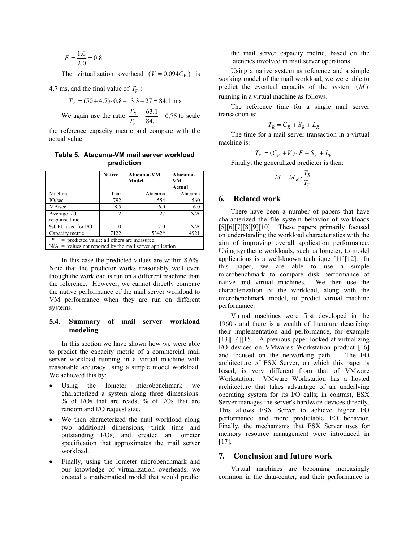$$
F = \frac{1.6}{2.0} = 0.8
$$

The virtualization overhead  $(V = 0.094C_V)$  is

4.7 ms, and the final value of  $T_V$  :

$$
T_V = (50 + 4.7) \cdot 0.8 + 13.3 + 27 = 84.1
$$
 ms

We again use the ratio 
$$
\frac{T_R}{T_V} = \frac{63.1}{84.1} = 0.75
$$
 to scale

the reference capacity metric and compare with the actual value:

**Table 5. Atacama-VM mail server workload prediction** 

|                                                            | <b>Native</b> | Atacama-VM<br>Model | Atacama-<br>VМ |  |
|------------------------------------------------------------|---------------|---------------------|----------------|--|
|                                                            |               |                     | Actual         |  |
| Machine                                                    | Thar          | Atacama             | Atacama        |  |
| IO/sec                                                     | 792           | 554                 | 560            |  |
| MB/sec                                                     | 8.5           | 6.0                 | 6.0            |  |
| Average $I/O$                                              | 12            | 27                  | N/A            |  |
| response time                                              |               |                     |                |  |
| %CPU used for I/O                                          | 10            | 7.0                 | N/A            |  |
| Capacity metric                                            | 7122          | 5342*               | 4921           |  |
| $\ast$<br>= predicted value; all others are measured       |               |                     |                |  |
| $N/A$ = values not reported by the mail server application |               |                     |                |  |

In this case the predicted values are within 8.6%. Note that the predictor works reasonably well even though the workload is run on a different machine than the reference. However, we cannot directly compare the native performance of the mail server workload to VM performance when they are run on different systems.

#### **5.4. Summary of mail server workload modeling**

In this section we have shown how we were able to predict the capacity metric of a commercial mail server workload running in a virtual machine with reasonable accuracy using a simple model workload. We achieved this by:

- Using the Iometer microbenchmark we characterized a system along three dimensions: % of I/Os that are reads, % of I/Os that are random and I/O request size.
- We then characterized the mail workload along two additional dimensions, think time and outstanding I/Os, and created an Iometer specification that approximates the mail server workload.
- Finally, using the Iometer microbenchmark and our knowledge of virtualization overheads, we created a mathematical model that would predict

the mail server capacity metric, based on the latencies involved in mail server operations.

Using a native system as reference and a simple working model of the mail workload, we were able to predict the eventual capacity of the system (*M* ) running in a virtual machine as follows.

The reference time for a single mail server transaction is:

$$
T_R = C_R + S_R + L_R
$$

The time for a mail server transaction in a virtual machine is:

$$
T_V = (C_V + V) \cdot F + S_V + L_V
$$

Finally, the generalized predictor is then:

$$
M=M_R\cdot\frac{T_R}{T_V}.
$$

#### <span id="page-11-0"></span>**6. Related work**

There have been a number of papers that have characterized the file system behavior of workloads  $[5][6][7][8][9][10]$  $[5][6][7][8][9][10]$  $[5][6][7][8][9][10]$  $[5][6][7][8][9][10]$  $[5][6][7][8][9][10]$  $[5][6][7][8][9][10]$  $[5][6][7][8][9][10]$ . These papers primarily focused on understanding the workload characteristics with the aim of improving overall application performance. Using synthetic workloads, such as Iometer, to model applications is a well-known technique [[11\]\[12](#page-12-5)]. In this paper, we are able to use a simple microbenchmark to compare disk performance of native and virtual machines. We then use the characterization of the workload, along with the microbenchmark model, to predict virtual machine performance.

Virtual machines were first developed in the 1960's and there is a wealth of literature describing their implementation and performance, for example [[13\]\[14](#page-12-6)][\[15](#page-12-6)]. A previous paper looked at virtualizing I/O devices on VMware's Workstation product [[16\]](#page-12-7) and focused on the networking path. architecture of ESX Server, on which this paper is based, is very different from that of VMware Workstation. VMware Workstation has a hosted architecture that takes advantage of an underlying operating system for its I/O calls; in contrast, ESX Server manages the server's hardware devices directly. This allows ESX Server to achieve higher I/O performance and more predictable I/O behavior. Finally, the mechanisms that ESX Server uses for memory resource management were introduced in [[17\]](#page-12-8).

#### <span id="page-11-1"></span>**7. Conclusion and future work**

Virtual machines are becoming increasingly common in the data-center, and their performance is